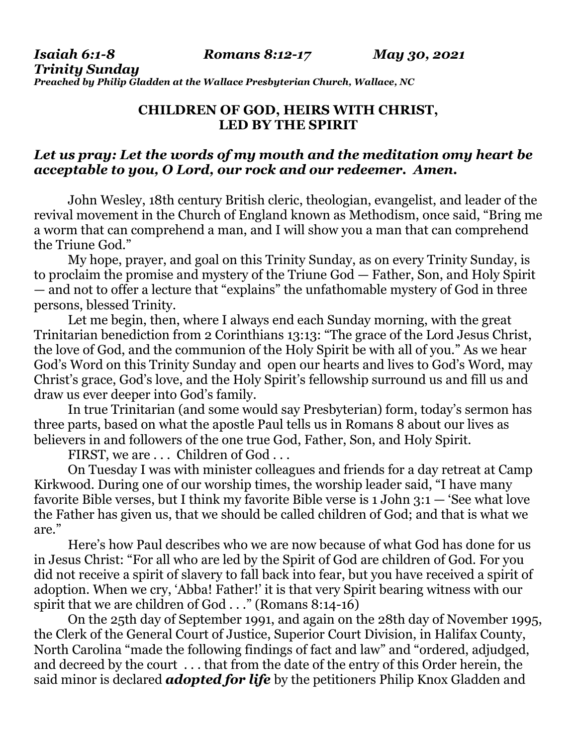*Isaiah 6:1-8 Romans 8:12-17 May 30, 2021* 

*Trinity Sunday* 

*Preached by Philip Gladden at the Wallace Presbyterian Church, Wallace, NC* 

## **CHILDREN OF GOD, HEIRS WITH CHRIST, LED BY THE SPIRIT**

## *Let us pray: Let the words of my mouth and the meditation omy heart be acceptable to you, O Lord, our rock and our redeemer. Amen.*

John Wesley, 18th century British cleric, theologian, evangelist, and leader of the revival movement in the Church of England known as Methodism, once said, "Bring me a worm that can comprehend a man, and I will show you a man that can comprehend the Triune God."

 My hope, prayer, and goal on this Trinity Sunday, as on every Trinity Sunday, is to proclaim the promise and mystery of the Triune God — Father, Son, and Holy Spirit — and not to offer a lecture that "explains" the unfathomable mystery of God in three persons, blessed Trinity.

 Let me begin, then, where I always end each Sunday morning, with the great Trinitarian benediction from 2 Corinthians 13:13: "The grace of the Lord Jesus Christ, the love of God, and the communion of the Holy Spirit be with all of you." As we hear God's Word on this Trinity Sunday and open our hearts and lives to God's Word, may Christ's grace, God's love, and the Holy Spirit's fellowship surround us and fill us and draw us ever deeper into God's family.

 In true Trinitarian (and some would say Presbyterian) form, today's sermon has three parts, based on what the apostle Paul tells us in Romans 8 about our lives as believers in and followers of the one true God, Father, Son, and Holy Spirit.

FIRST, we are ... Children of God...

 On Tuesday I was with minister colleagues and friends for a day retreat at Camp Kirkwood. During one of our worship times, the worship leader said, "I have many favorite Bible verses, but I think my favorite Bible verse is 1 John 3:1 — 'See what love the Father has given us, that we should be called children of God; and that is what we are."

 Here's how Paul describes who we are now because of what God has done for us in Jesus Christ: "For all who are led by the Spirit of God are children of God. For you did not receive a spirit of slavery to fall back into fear, but you have received a spirit of adoption. When we cry, 'Abba! Father!' it is that very Spirit bearing witness with our spirit that we are children of God . . ." (Romans 8:14-16)

 On the 25th day of September 1991, and again on the 28th day of November 1995, the Clerk of the General Court of Justice, Superior Court Division, in Halifax County, North Carolina "made the following findings of fact and law" and "ordered, adjudged, and decreed by the court . . . that from the date of the entry of this Order herein, the said minor is declared *adopted for life* by the petitioners Philip Knox Gladden and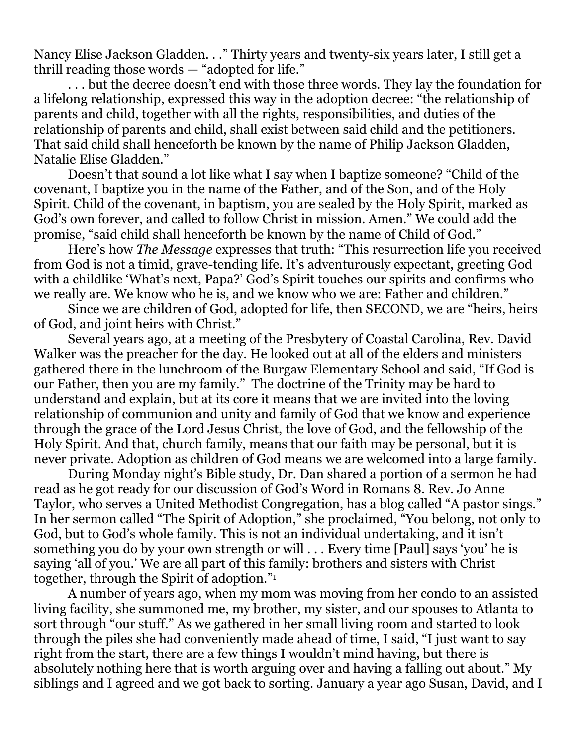Nancy Elise Jackson Gladden. . ." Thirty years and twenty-six years later, I still get a thrill reading those words — "adopted for life."

 . . . but the decree doesn't end with those three words. They lay the foundation for a lifelong relationship, expressed this way in the adoption decree: "the relationship of parents and child, together with all the rights, responsibilities, and duties of the relationship of parents and child, shall exist between said child and the petitioners. That said child shall henceforth be known by the name of Philip Jackson Gladden, Natalie Elise Gladden."

 Doesn't that sound a lot like what I say when I baptize someone? "Child of the covenant, I baptize you in the name of the Father, and of the Son, and of the Holy Spirit. Child of the covenant, in baptism, you are sealed by the Holy Spirit, marked as God's own forever, and called to follow Christ in mission. Amen." We could add the promise, "said child shall henceforth be known by the name of Child of God."

 Here's how *The Message* expresses that truth: "This resurrection life you received from God is not a timid, grave-tending life. It's adventurously expectant, greeting God with a childlike 'What's next, Papa?' God's Spirit touches our spirits and confirms who we really are. We know who he is, and we know who we are: Father and children."

 Since we are children of God, adopted for life, then SECOND, we are "heirs, heirs of God, and joint heirs with Christ."

 Several years ago, at a meeting of the Presbytery of Coastal Carolina, Rev. David Walker was the preacher for the day. He looked out at all of the elders and ministers gathered there in the lunchroom of the Burgaw Elementary School and said, "If God is our Father, then you are my family." The doctrine of the Trinity may be hard to understand and explain, but at its core it means that we are invited into the loving relationship of communion and unity and family of God that we know and experience through the grace of the Lord Jesus Christ, the love of God, and the fellowship of the Holy Spirit. And that, church family, means that our faith may be personal, but it is never private. Adoption as children of God means we are welcomed into a large family.

 During Monday night's Bible study, Dr. Dan shared a portion of a sermon he had read as he got ready for our discussion of God's Word in Romans 8. Rev. Jo Anne Taylor, who serves a United Methodist Congregation, has a blog called "A pastor sings." In her sermon called "The Spirit of Adoption," she proclaimed, "You belong, not only to God, but to God's whole family. This is not an individual undertaking, and it isn't something you do by your own strength or will . . . Every time [Paul] says 'you' he is saying 'all of you.' We are all part of this family: brothers and sisters with Christ together, through the Spirit of adoption."<sup>1</sup>

 A number of years ago, when my mom was moving from her condo to an assisted living facility, she summoned me, my brother, my sister, and our spouses to Atlanta to sort through "our stuff." As we gathered in her small living room and started to look through the piles she had conveniently made ahead of time, I said, "I just want to say right from the start, there are a few things I wouldn't mind having, but there is absolutely nothing here that is worth arguing over and having a falling out about." My siblings and I agreed and we got back to sorting. January a year ago Susan, David, and I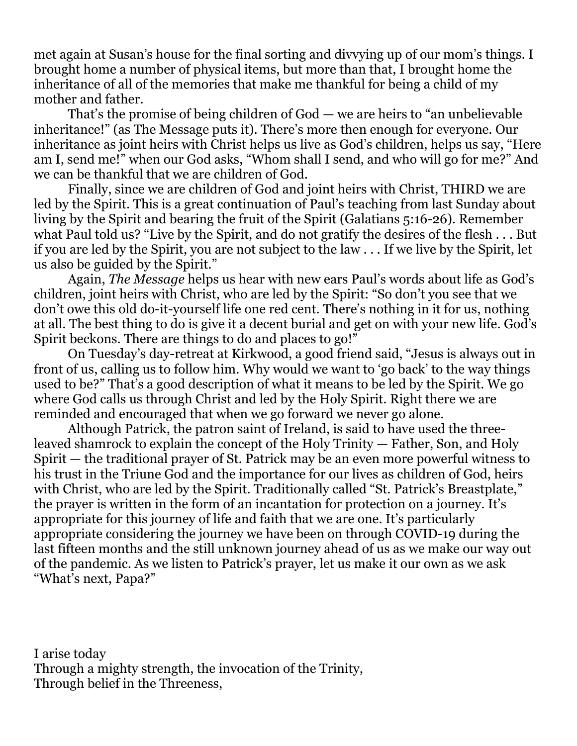met again at Susan's house for the final sorting and divvying up of our mom's things. I brought home a number of physical items, but more than that, I brought home the inheritance of all of the memories that make me thankful for being a child of my mother and father.

 That's the promise of being children of God — we are heirs to "an unbelievable inheritance!" (as The Message puts it). There's more then enough for everyone. Our inheritance as joint heirs with Christ helps us live as God's children, helps us say, "Here am I, send me!" when our God asks, "Whom shall I send, and who will go for me?" And we can be thankful that we are children of God.

 Finally, since we are children of God and joint heirs with Christ, THIRD we are led by the Spirit. This is a great continuation of Paul's teaching from last Sunday about living by the Spirit and bearing the fruit of the Spirit (Galatians 5:16-26). Remember what Paul told us? "Live by the Spirit, and do not gratify the desires of the flesh . . . But if you are led by the Spirit, you are not subject to the law . . . If we live by the Spirit, let us also be guided by the Spirit."

 Again, *The Message* helps us hear with new ears Paul's words about life as God's children, joint heirs with Christ, who are led by the Spirit: "So don't you see that we don't owe this old do-it-yourself life one red cent. There's nothing in it for us, nothing at all. The best thing to do is give it a decent burial and get on with your new life. God's Spirit beckons. There are things to do and places to go!"

 On Tuesday's day-retreat at Kirkwood, a good friend said, "Jesus is always out in front of us, calling us to follow him. Why would we want to 'go back' to the way things used to be?" That's a good description of what it means to be led by the Spirit. We go where God calls us through Christ and led by the Holy Spirit. Right there we are reminded and encouraged that when we go forward we never go alone.

 Although Patrick, the patron saint of Ireland, is said to have used the threeleaved shamrock to explain the concept of the Holy Trinity — Father, Son, and Holy Spirit — the traditional prayer of St. Patrick may be an even more powerful witness to his trust in the Triune God and the importance for our lives as children of God, heirs with Christ, who are led by the Spirit. Traditionally called "St. Patrick's Breastplate," the prayer is written in the form of an incantation for protection on a journey. It's appropriate for this journey of life and faith that we are one. It's particularly appropriate considering the journey we have been on through COVID-19 during the last fifteen months and the still unknown journey ahead of us as we make our way out of the pandemic. As we listen to Patrick's prayer, let us make it our own as we ask "What's next, Papa?"

I arise today Through a mighty strength, the invocation of the Trinity, Through belief in the Threeness,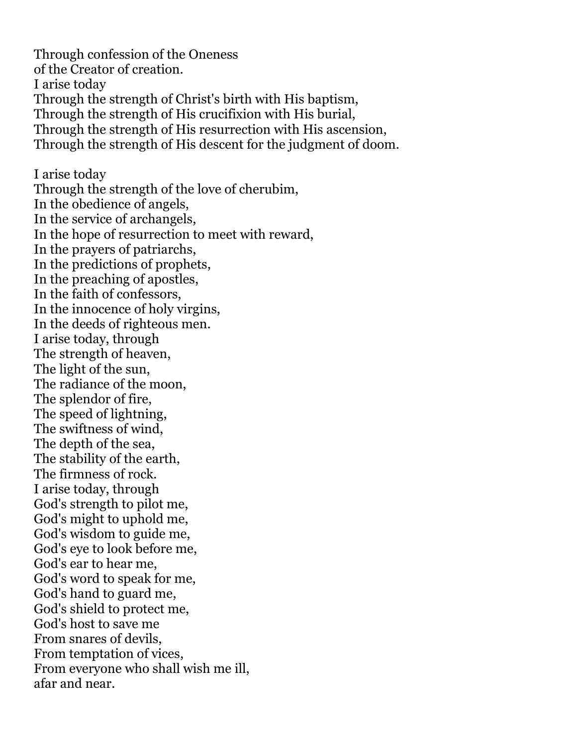Through confession of the Oneness of the Creator of creation. I arise today Through the strength of Christ's birth with His baptism, Through the strength of His crucifixion with His burial, Through the strength of His resurrection with His ascension, Through the strength of His descent for the judgment of doom. I arise today Through the strength of the love of cherubim, In the obedience of angels, In the service of archangels, In the hope of resurrection to meet with reward, In the prayers of patriarchs, In the predictions of prophets, In the preaching of apostles, In the faith of confessors, In the innocence of holy virgins, In the deeds of righteous men. I arise today, through The strength of heaven, The light of the sun, The radiance of the moon, The splendor of fire, The speed of lightning, The swiftness of wind, The depth of the sea, The stability of the earth, The firmness of rock. I arise today, through God's strength to pilot me, God's might to uphold me, God's wisdom to guide me, God's eye to look before me, God's ear to hear me, God's word to speak for me, God's hand to guard me, God's shield to protect me, God's host to save me From snares of devils, From temptation of vices, From everyone who shall wish me ill, afar and near.